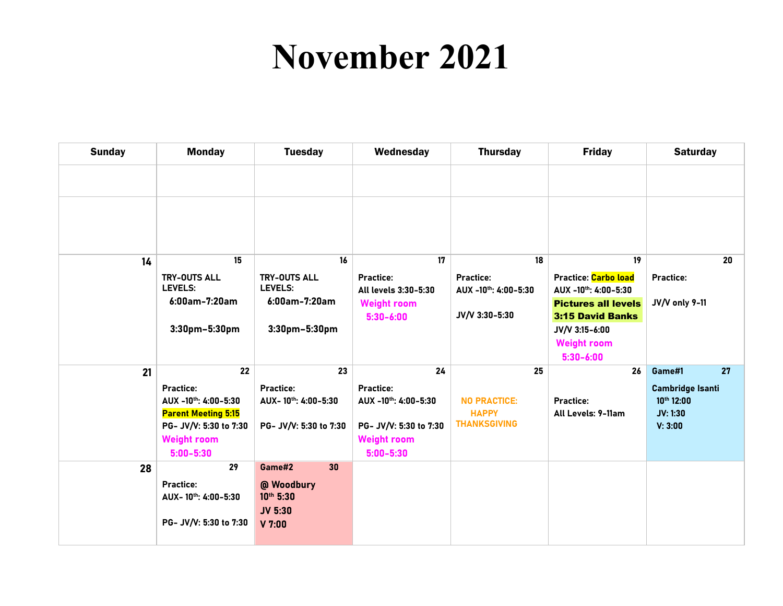#### **November 2021**

| <b>Sunday</b> | <b>Monday</b>                                                                                                                                 | <b>Tuesday</b>                                                          | Wednesday                                                                                                       | <b>Thursday</b>                                                  | <b>Friday</b>                                                                                                                                                        | <b>Saturday</b>                                                                     |
|---------------|-----------------------------------------------------------------------------------------------------------------------------------------------|-------------------------------------------------------------------------|-----------------------------------------------------------------------------------------------------------------|------------------------------------------------------------------|----------------------------------------------------------------------------------------------------------------------------------------------------------------------|-------------------------------------------------------------------------------------|
|               |                                                                                                                                               |                                                                         |                                                                                                                 |                                                                  |                                                                                                                                                                      |                                                                                     |
|               |                                                                                                                                               |                                                                         |                                                                                                                 |                                                                  |                                                                                                                                                                      |                                                                                     |
| 14            | 15<br><b>TRY-OUTS ALL</b><br><b>LEVELS:</b><br>6:00am-7:20am<br>3:30pm-5:30pm                                                                 | 16<br><b>TRY-OUTS ALL</b><br>LEVELS:<br>6:00am-7:20am<br>3:30pm-5:30pm  | 17<br><b>Practice:</b><br>All levels 3:30-5:30<br><b>Weight room</b><br>$5:30 - 6:00$                           | 18<br><b>Practice:</b><br>AUX -10th: 4:00-5:30<br>JV/V 3:30-5:30 | 19<br><b>Practice:</b> Carbo load<br>AUX -10th: 4:00-5:30<br><b>Pictures all levels</b><br>3:15 David Banks<br>JV/V 3:15-6:00<br><b>Weight room</b><br>$5:30 - 6:00$ | 20<br><b>Practice:</b><br>JV/V only 9-11                                            |
| 21            | 22<br><b>Practice:</b><br>AUX -10th: 4:00-5:30<br><b>Parent Meeting 5:15</b><br>PG- JV/V: 5:30 to 7:30<br><b>Weight room</b><br>$5:00 - 5:30$ | 23<br><b>Practice:</b><br>AUX-10th: 4:00-5:30<br>PG- JV/V: 5:30 to 7:30 | 24<br><b>Practice:</b><br>AUX -10th: 4:00-5:30<br>PG- JV/V: 5:30 to 7:30<br><b>Weight room</b><br>$5:00 - 5:30$ | 25<br><b>NO PRACTICE:</b><br><b>HAPPY</b><br><b>THANKSGIVING</b> | 26<br><b>Practice:</b><br>All Levels: 9-11am                                                                                                                         | 27<br>Game#1<br><b>Cambridge Isanti</b><br>10th 12:00<br><b>JV: 1:30</b><br>V: 3:00 |
| 28            | 29<br><b>Practice:</b><br>AUX-10th: 4:00-5:30<br>PG- JV/V: 5:30 to 7:30                                                                       | Game#2<br>30<br>@ Woodbury<br>10th 5:30<br><b>JV 5:30</b><br>$V$ 7:00   |                                                                                                                 |                                                                  |                                                                                                                                                                      |                                                                                     |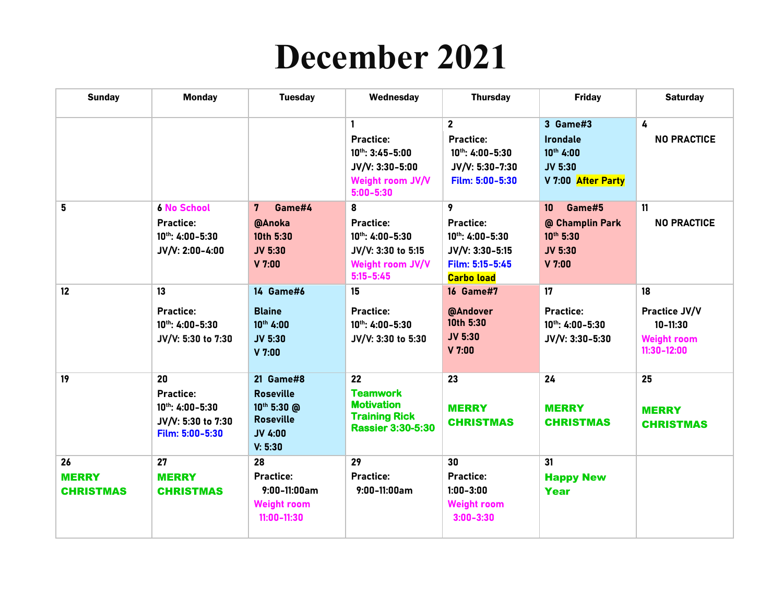#### **December 2021**

| <b>Sunday</b>                          | <b>Monday</b>                                                                            | <b>Tuesday</b>                                                                                                   | Wednesday                                                                                           | <b>Thursday</b>                                                                                       | <b>Friday</b>                                                                                | <b>Saturday</b>                                                              |
|----------------------------------------|------------------------------------------------------------------------------------------|------------------------------------------------------------------------------------------------------------------|-----------------------------------------------------------------------------------------------------|-------------------------------------------------------------------------------------------------------|----------------------------------------------------------------------------------------------|------------------------------------------------------------------------------|
|                                        |                                                                                          |                                                                                                                  | <b>Practice:</b><br>$10^{th}$ : 3:45-5:00<br>$JV/N: 3:30-5:00$<br>Weight room JV/V<br>$5:00 - 5:30$ | $\overline{2}$<br><b>Practice:</b><br>$10^{th}$ : 4:00-5:30<br>JV/V: 5:30-7:30<br>Film: 5:00-5:30     | 3 Game#3<br><b>Irondale</b><br>10 <sup>th</sup> 4:00<br><b>JV 5:30</b><br>V 7:00 After Party | 4<br><b>NO PRACTICE</b>                                                      |
| 5                                      | <b>6 No School</b><br><b>Practice:</b><br>$10^{th}$ : 4:00-5:30<br>$JV/N: 2:00-4:00$     | 7 <sup>7</sup><br>Game#4<br>@Anoka<br>10th 5:30<br><b>JV 5:30</b><br>$V$ 7:00                                    | 8<br><b>Practice:</b><br>10th: 4:00-5:30<br>JV/V: 3:30 to 5:15<br>Weight room JV/V<br>$5:15 - 5:45$ | 9<br><b>Practice:</b><br>10th: 4:00-5:30<br>$JV/Y: 3:30-5:15$<br>Film: 5:15-5:45<br><b>Carbo load</b> | Game#5<br>10<br>@ Champlin Park<br>10th 5:30<br><b>JV 5:30</b><br>$V$ 7:00                   | 11<br><b>NO PRACTICE</b>                                                     |
| 12                                     | 13<br><b>Practice:</b><br>$10^{th}$ : 4:00-5:30<br>JV/V: 5:30 to 7:30                    | 14 Game#6<br><b>Blaine</b><br>10 <sup>th</sup> 4:00<br><b>JV 5:30</b><br>$V$ 7:00                                | 15<br><b>Practice:</b><br>10th: 4:00-5:30<br>JV/V: 3:30 to 5:30                                     | <b>16 Game#7</b><br>@Andover<br>10th 5:30<br><b>JV 5:30</b><br>$V$ 7:00                               | 17<br><b>Practice:</b><br>$10^{th}$ : 4:00-5:30<br>JV/V: 3:30-5:30                           | 18<br>Practice JV/V<br>$10 - 11:30$<br><b>Weight room</b><br>$11:30 - 12:00$ |
| 19                                     | 20<br><b>Practice:</b><br>$10^{th}$ : 4:00-5:30<br>JV/V: 5:30 to 7:30<br>Film: 5:00-5:30 | <b>21 Game#8</b><br><b>Roseville</b><br>10 <sup>th</sup> 5:30 @<br><b>Roseville</b><br><b>JV 4:00</b><br>V: 5:30 | 22<br><b>Teamwork</b><br><b>Motivation</b><br><b>Training Rick</b><br><b>Rassier 3:30-5:30</b>      | 23<br><b>MERRY</b><br><b>CHRISTMAS</b>                                                                | 24<br><b>MERRY</b><br><b>CHRISTMAS</b>                                                       | 25<br><b>MERRY</b><br><b>CHRISTMAS</b>                                       |
| 26<br><b>MERRY</b><br><b>CHRISTMAS</b> | 27<br><b>MERRY</b><br><b>CHRISTMAS</b>                                                   | 28<br><b>Practice:</b><br>$9:00-11:00am$<br><b>Weight room</b><br>11:00-11:30                                    | 29<br><b>Practice:</b><br>$9:00-11:00am$                                                            | 30<br><b>Practice:</b><br>$1:00 - 3:00$<br><b>Weight room</b><br>$3:00 - 3:30$                        | 31<br><b>Happy New</b><br><b>Year</b>                                                        |                                                                              |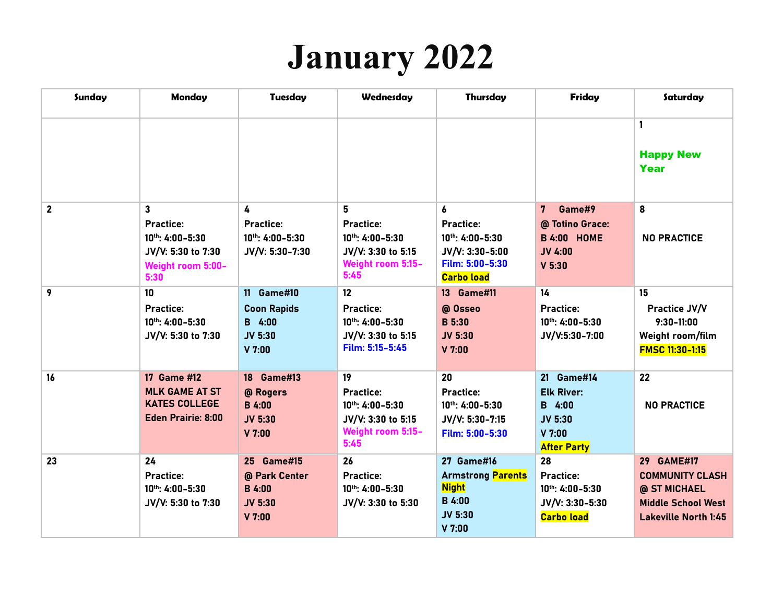# **January 2022**

| Sunday         | <b>Monday</b>                                                                               | <b>Tuesday</b>                                                                  | Wednesday                                                                                    | Thursday                                                                                                     | <b>Friday</b>                                                                                        | Saturday                                                                                                         |
|----------------|---------------------------------------------------------------------------------------------|---------------------------------------------------------------------------------|----------------------------------------------------------------------------------------------|--------------------------------------------------------------------------------------------------------------|------------------------------------------------------------------------------------------------------|------------------------------------------------------------------------------------------------------------------|
|                |                                                                                             |                                                                                 |                                                                                              |                                                                                                              |                                                                                                      | 1<br><b>Happy New</b><br><b>Year</b>                                                                             |
| $\overline{2}$ | 3<br><b>Practice:</b><br>10th: 4:00-5:30<br>JV/V: 5:30 to 7:30<br>Weight room 5:00-<br>5:30 | 4<br><b>Practice:</b><br>10th: 4:00-5:30<br>$JV/Y: 5:30-7:30$                   | 5<br><b>Practice:</b><br>10th: 4:00-5:30<br>JV/V: 3:30 to 5:15<br>Weight room 5:15-<br>5:45  | 6<br><b>Practice:</b><br>10th: 4:00-5:30<br>JV/V: 3:30-5:00<br>Film: 5:00-5:30<br><b>Carbo load</b>          | 7 Game#9<br>@ Totino Grace:<br><b>B 4:00 HOME</b><br><b>JV 4:00</b><br>$V$ 5:30                      | 8<br><b>NO PRACTICE</b>                                                                                          |
| 9              | 10<br><b>Practice:</b><br>10th: 4:00-5:30<br>JV/V: 5:30 to 7:30                             | 11 Game#10<br><b>Coon Rapids</b><br><b>B</b> 4:00<br><b>JV 5:30</b><br>$V$ 7:00 | 12<br><b>Practice:</b><br>10th: 4:00-5:30<br>JV/V: 3:30 to 5:15<br>Film: 5:15-5:45           | 13 Game#11<br>@ Osseo<br><b>B</b> 5:30<br><b>JV 5:30</b><br>$V$ 7:00                                         | 14<br><b>Practice:</b><br>10th: 4:00-5:30<br>JV/V:5:30-7:00                                          | 15<br>Practice JV/V<br>$9:30 - 11:00$<br>Weight room/film<br><b>FMSC 11:30-1:15</b>                              |
| 16             | 17 Game #12<br><b>MLK GAME AT ST</b><br><b>KATES COLLEGE</b><br><b>Eden Prairie: 8:00</b>   | 18 Game#13<br>@ Rogers<br><b>B</b> 4:00<br><b>JV 5:30</b><br>$V$ 7:00           | 19<br><b>Practice:</b><br>10th: 4:00-5:30<br>JV/V: 3:30 to 5:15<br>Weight room 5:15-<br>5:45 | 20<br><b>Practice:</b><br>10th: 4:00-5:30<br>JV/V: 5:30-7:15<br>Film: 5:00-5:30                              | 21 Game#14<br><b>Elk River:</b><br><b>B</b> 4:00<br><b>JV 5:30</b><br>$V$ 7:00<br><b>After Party</b> | 22<br><b>NO PRACTICE</b>                                                                                         |
| 23             | 24<br><b>Practice:</b><br>10th: 4:00-5:30<br>JV/V: 5:30 to 7:30                             | 25 Game#15<br>@ Park Center<br><b>B</b> 4:00<br><b>JV 5:30</b><br>$V$ 7:00      | 26<br><b>Practice:</b><br>10th: 4:00-5:30<br>JV/V: 3:30 to 5:30                              | <b>27 Game#16</b><br><b>Armstrong Parents</b><br><b>Night</b><br><b>B</b> 4:00<br><b>JV 5:30</b><br>$V$ 7:00 | 28<br><b>Practice:</b><br>$10^{th}$ : 4:00-5:30<br>$JV/N: 3:30-5:30$<br><b>Carbo load</b>            | 29 GAME#17<br><b>COMMUNITY CLASH</b><br>@ ST MICHAEL<br><b>Middle School West</b><br><b>Lakeville North 1:45</b> |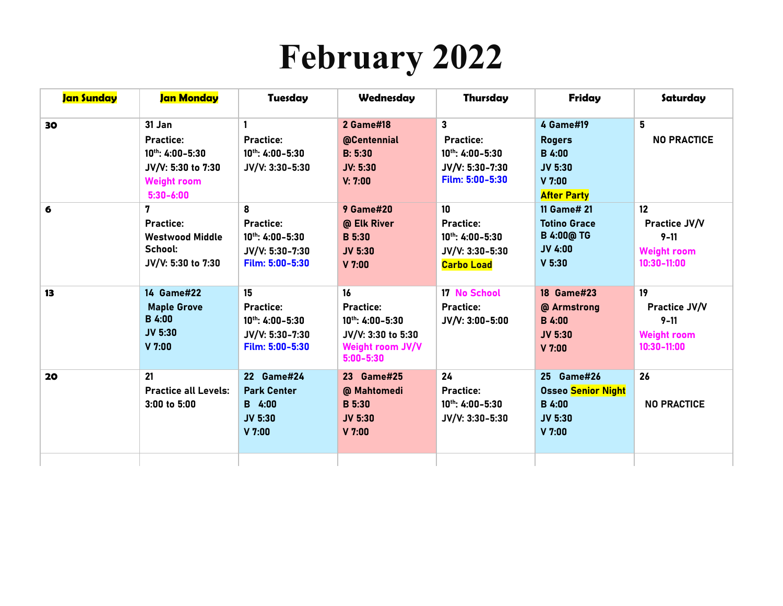# **February 2022**

| Jan Sunday | Jan Monday                                                                                                 | <b>Tuesday</b>                                                                         | Wednesday                                                                                                  | Thursday                                                                                          | <b>Friday</b>                                                                                   | Saturday                                                                              |
|------------|------------------------------------------------------------------------------------------------------------|----------------------------------------------------------------------------------------|------------------------------------------------------------------------------------------------------------|---------------------------------------------------------------------------------------------------|-------------------------------------------------------------------------------------------------|---------------------------------------------------------------------------------------|
| 30         | 31 Jan<br><b>Practice:</b><br>10th: 4:00-5:30<br>JV/V: 5:30 to 7:30<br><b>Weight room</b><br>$5:30 - 6:00$ | 1<br><b>Practice:</b><br>$10^{th}$ : 4:00-5:30<br>JV/V: 3:30-5:30                      | 2 Game#18<br>@Centennial<br><b>B: 5:30</b><br><b>JV: 5:30</b><br>V: 7:00                                   | $\mathbf{3}$<br><b>Practice:</b><br>$10^{th}$ : 4:00-5:30<br>$JV/N: 5:30-7:30$<br>Film: 5:00-5:30 | 4 Game#19<br><b>Rogers</b><br><b>B</b> 4:00<br><b>JV 5:30</b><br>$V$ 7:00<br><b>After Party</b> | 5<br><b>NO PRACTICE</b>                                                               |
| 6          | 7<br><b>Practice:</b><br><b>Westwood Middle</b><br>School:<br>JV/V: 5:30 to 7:30                           | 8<br><b>Practice:</b><br>10th: 4:00-5:30<br>JV/V: 5:30-7:30<br>Film: 5:00-5:30         | <b>9 Game#20</b><br>@ Elk River<br><b>B</b> 5:30<br><b>JV 5:30</b><br>$V$ 7:00                             | 10<br><b>Practice:</b><br>$10^{th}$ : 4:00-5:30<br>JV/V: 3:30-5:30<br><b>Carbo Load</b>           | 11 Game# 21<br><b>Totino Grace</b><br><b>B 4:00@ TG</b><br><b>JV 4:00</b><br>$V$ 5:30           | 12 <sup>2</sup><br>Practice JV/V<br>$9 - 11$<br><b>Weight room</b><br>$10:30 - 11:00$ |
| 13         | 14 Game#22<br><b>Maple Grove</b><br><b>B</b> 4:00<br><b>JV 5:30</b><br>$V$ 7:00                            | 15<br><b>Practice:</b><br>$10^{th}$ : 4:00-5:30<br>JV/V: 5:30-7:30<br>Film: 5:00-5:30  | 16<br><b>Practice:</b><br>$10^{th}$ : 4:00-5:30<br>JV/V: 3:30 to 5:30<br>Weight room JV/V<br>$5:00 - 5:30$ | 17 No School<br><b>Practice:</b><br>$JV/N: 3:00-5:00$                                             | <b>18 Game#23</b><br>@ Armstrong<br><b>B</b> 4:00<br><b>JV 5:30</b><br>$V$ 7:00                 | 19 <sup>°</sup><br>Practice JV/V<br>$9 - 11$<br><b>Weight room</b><br>$10:30 - 11:00$ |
| 20         | 21<br><b>Practice all Levels:</b><br>3:00 to 5:00                                                          | <b>22 Game#24</b><br><b>Park Center</b><br><b>B</b> 4:00<br><b>JV 5:30</b><br>$V$ 7:00 | 23 Game#25<br>@ Mahtomedi<br><b>B</b> 5:30<br><b>JV 5:30</b><br>$V$ 7:00                                   | 24<br><b>Practice:</b><br>$10^{th}$ : 4:00-5:30<br>JV/V: 3:30-5:30                                | 25 Game#26<br><b>Osseo Senior Night</b><br><b>B</b> 4:00<br><b>JV 5:30</b><br>$V$ 7:00          | 26<br><b>NO PRACTICE</b>                                                              |
|            |                                                                                                            |                                                                                        |                                                                                                            |                                                                                                   |                                                                                                 |                                                                                       |